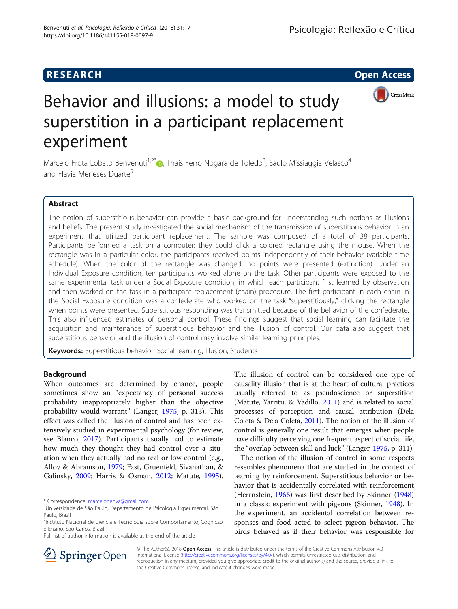# **RESEARCH CHE Open Access**



# Behavior and illusions: a model to study superstition in a participant replacement experiment

Marcelo Frota Lobato Benvenuti<sup>1,2[\\*](http://orcid.org/0000-0002-9397-3033)</sup> $\circledbullet$ , Thais Ferro Nogara de Toledo<sup>3</sup>, Saulo Missiaggia Velasco<sup>4</sup> and Flavia Meneses Duarte<sup>5</sup>

# Abstract

The notion of superstitious behavior can provide a basic background for understanding such notions as illusions and beliefs. The present study investigated the social mechanism of the transmission of superstitious behavior in an experiment that utilized participant replacement. The sample was composed of a total of 38 participants. Participants performed a task on a computer: they could click a colored rectangle using the mouse. When the rectangle was in a particular color, the participants received points independently of their behavior (variable time schedule). When the color of the rectangle was changed, no points were presented (extinction). Under an Individual Exposure condition, ten participants worked alone on the task. Other participants were exposed to the same experimental task under a Social Exposure condition, in which each participant first learned by observation and then worked on the task in a participant replacement (chain) procedure. The first participant in each chain in the Social Exposure condition was a confederate who worked on the task "superstitiously," clicking the rectangle when points were presented. Superstitious responding was transmitted because of the behavior of the confederate. This also influenced estimates of personal control. These findings suggest that social learning can facilitate the acquisition and maintenance of superstitious behavior and the illusion of control. Our data also suggest that superstitious behavior and the illusion of control may involve similar learning principles.

Keywords: Superstitious behavior, Social learning, Illusion, Students

# Background

When outcomes are determined by chance, people sometimes show an "expectancy of personal success probability inappropriately higher than the objective probability would warrant" (Langer, [1975](#page-8-0), p. 313). This effect was called the illusion of control and has been extensively studied in experimental psychology (for review, see Blanco, [2017](#page-8-0)). Participants usually had to estimate how much they thought they had control over a situation when they actually had no real or low control (e.g., Alloy & Abramson, [1979;](#page-8-0) Fast, Gruenfeld, Sivanathan, & Galinsky, [2009](#page-8-0); Harris & Osman, [2012;](#page-8-0) Matute, [1995](#page-8-0)).

Full list of author information is available at the end of the article

The illusion of control can be considered one type of causality illusion that is at the heart of cultural practices usually referred to as pseudoscience or superstition (Matute, Yarritu, & Vadillo, [2011\)](#page-8-0) and is related to social processes of perception and causal attribution (Dela Coleta & Dela Coleta, [2011](#page-8-0)). The notion of the illusion of control is generally one result that emerges when people have difficulty perceiving one frequent aspect of social life, the "overlap between skill and luck" (Langer, [1975](#page-8-0), p. 311).

The notion of the illusion of control in some respects resembles phenomena that are studied in the context of learning by reinforcement. Superstitious behavior or behavior that is accidentally correlated with reinforcement (Herrnstein, [1966](#page-8-0)) was first described by Skinner ([1948](#page-8-0)) in a classic experiment with pigeons (Skinner, [1948\)](#page-8-0). In the experiment, an accidental correlation between responses and food acted to select pigeon behavior. The birds behaved as if their behavior was responsible for



© The Author(s). 2018 Open Access This article is distributed under the terms of the Creative Commons Attribution 4.0 International License ([http://creativecommons.org/licenses/by/4.0/\)](http://creativecommons.org/licenses/by/4.0/), which permits unrestricted use, distribution, and reproduction in any medium, provided you give appropriate credit to the original author(s) and the source, provide a link to the Creative Commons license, and indicate if changes were made.

<sup>\*</sup> Correspondence: [marcelobenva@gmail.com](mailto:marcelobenva@gmail.com) <sup>1</sup>

Universidade de São Paulo, Departamento de Psicologia Experimental, São Paulo, Brazil

<sup>&</sup>lt;sup>2</sup>Instituto Nacional de Ciência e Tecnologia sobre Comportamento, Cognição e Ensino, São Carlos, Brazil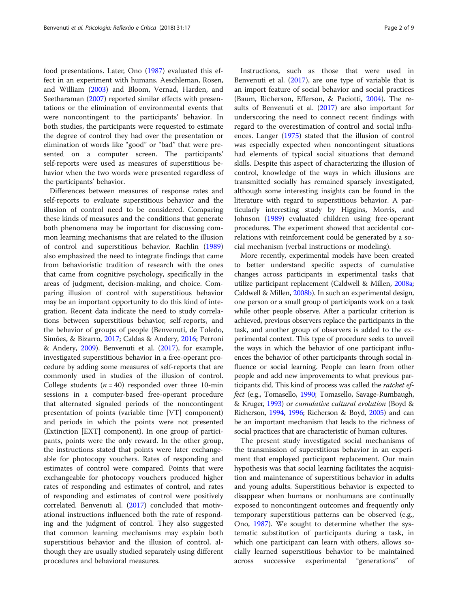food presentations. Later, Ono ([1987](#page-8-0)) evaluated this effect in an experiment with humans. Aeschleman, Rosen, and William [\(2003\)](#page-8-0) and Bloom, Vernad, Harden, and Seetharaman ([2007](#page-8-0)) reported similar effects with presentations or the elimination of environmental events that were noncontingent to the participants' behavior. In both studies, the participants were requested to estimate the degree of control they had over the presentation or elimination of words like "good" or "bad" that were presented on a computer screen. The participants' self-reports were used as measures of superstitious behavior when the two words were presented regardless of the participants' behavior.

Differences between measures of response rates and self-reports to evaluate superstitious behavior and the illusion of control need to be considered. Comparing these kinds of measures and the conditions that generate both phenomena may be important for discussing common learning mechanisms that are related to the illusion of control and superstitious behavior. Rachlin ([1989](#page-8-0)) also emphasized the need to integrate findings that came from behavioristic tradition of research with the ones that came from cognitive psychology, specifically in the areas of judgment, decision-making, and choice. Comparing illusion of control with superstitious behavior may be an important opportunity to do this kind of integration. Recent data indicate the need to study correlations between superstitious behavior, self-reports, and the behavior of groups of people (Benvenuti, de Toledo, Simões, & Bizarro, [2017](#page-8-0); Caldas & Andery, [2016](#page-8-0); Perroni & Andery, [2009\)](#page-8-0). Benvenuti et al. ([2017](#page-8-0)), for example, investigated superstitious behavior in a free-operant procedure by adding some measures of self-reports that are commonly used in studies of the illusion of control. College students  $(n = 40)$  responded over three 10-min sessions in a computer-based free-operant procedure that alternated signaled periods of the noncontingent presentation of points (variable time [VT] component) and periods in which the points were not presented (Extinction [EXT] component). In one group of participants, points were the only reward. In the other group, the instructions stated that points were later exchangeable for photocopy vouchers. Rates of responding and estimates of control were compared. Points that were exchangeable for photocopy vouchers produced higher rates of responding and estimates of control, and rates of responding and estimates of control were positively correlated. Benvenuti al. ([2017](#page-8-0)) concluded that motivational instructions influenced both the rate of responding and the judgment of control. They also suggested that common learning mechanisms may explain both superstitious behavior and the illusion of control, although they are usually studied separately using different procedures and behavioral measures.

Instructions, such as those that were used in Benvenuti et al.  $(2017)$  $(2017)$ , are one type of variable that is an import feature of social behavior and social practices (Baum, Richerson, Efferson, & Paciotti, [2004\)](#page-8-0). The results of Benvenuti et al. ([2017\)](#page-8-0) are also important for underscoring the need to connect recent findings with regard to the overestimation of control and social influences. Langer [\(1975](#page-8-0)) stated that the illusion of control was especially expected when noncontingent situations had elements of typical social situations that demand skills. Despite this aspect of characterizing the illusion of control, knowledge of the ways in which illusions are transmitted socially has remained sparsely investigated, although some interesting insights can be found in the literature with regard to superstitious behavior. A particularly interesting study by Higgins, Morris, and Johnson [\(1989\)](#page-8-0) evaluated children using free-operant procedures. The experiment showed that accidental correlations with reinforcement could be generated by a social mechanism (verbal instructions or modeling).

More recently, experimental models have been created to better understand specific aspects of cumulative changes across participants in experimental tasks that utilize participant replacement (Caldwell & Millen, [2008a](#page-8-0); Caldwell & Millen, [2008b](#page-8-0)). In such an experimental design, one person or a small group of participants work on a task while other people observe. After a particular criterion is achieved, previous observers replace the participants in the task, and another group of observers is added to the experimental context. This type of procedure seeks to unveil the ways in which the behavior of one participant influences the behavior of other participants through social influence or social learning. People can learn from other people and add new improvements to what previous participants did. This kind of process was called the ratchet ef-fect (e.g., Tomasello, [1990;](#page-8-0) Tomasello, Savage-Rumbaugh, & Kruger, [1993](#page-8-0)) or cumulative cultural evolution (Boyd & Richerson, [1994](#page-8-0), [1996](#page-8-0); Richerson & Boyd, [2005](#page-8-0)) and can be an important mechanism that leads to the richness of social practices that are characteristic of human cultures.

The present study investigated social mechanisms of the transmission of superstitious behavior in an experiment that employed participant replacement. Our main hypothesis was that social learning facilitates the acquisition and maintenance of superstitious behavior in adults and young adults. Superstitious behavior is expected to disappear when humans or nonhumans are continually exposed to noncontingent outcomes and frequently only temporary superstitious patterns can be observed (e.g., Ono, [1987](#page-8-0)). We sought to determine whether the systematic substitution of participants during a task, in which one participant can learn with others, allows socially learned superstitious behavior to be maintained across successive experimental "generations" of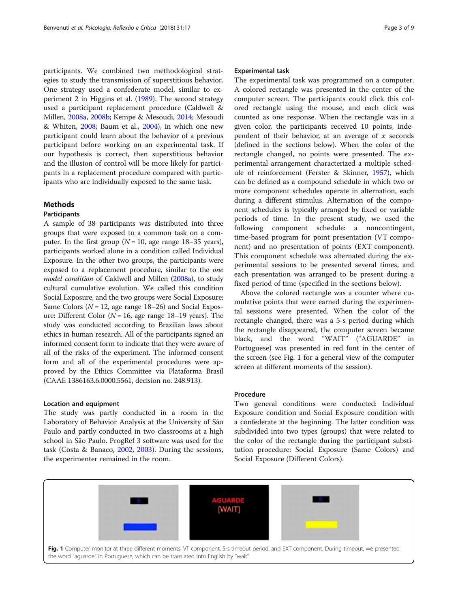participants. We combined two methodological strategies to study the transmission of superstitious behavior. One strategy used a confederate model, similar to experiment 2 in Higgins et al. ([1989](#page-8-0)). The second strategy used a participant replacement procedure (Caldwell & Millen, [2008a](#page-8-0), [2008b;](#page-8-0) Kempe & Mesoudi, [2014;](#page-8-0) Mesoudi & Whiten, [2008](#page-8-0); Baum et al., [2004](#page-8-0)), in which one new participant could learn about the behavior of a previous participant before working on an experimental task. If our hypothesis is correct, then superstitious behavior and the illusion of control will be more likely for participants in a replacement procedure compared with participants who are individually exposed to the same task.

# Methods

# Participants

A sample of 38 participants was distributed into three groups that were exposed to a common task on a computer. In the first group ( $N = 10$ , age range 18–35 years), participants worked alone in a condition called Individual Exposure. In the other two groups, the participants were exposed to a replacement procedure, similar to the one model condition of Caldwell and Millen [\(2008a\)](#page-8-0), to study cultural cumulative evolution. We called this condition Social Exposure, and the two groups were Social Exposure: Same Colors ( $N = 12$ , age range 18–26) and Social Exposure: Different Color ( $N = 16$ , age range 18–19 years). The study was conducted according to Brazilian laws about ethics in human research. All of the participants signed an informed consent form to indicate that they were aware of all of the risks of the experiment. The informed consent form and all of the experimental procedures were approved by the Ethics Committee via Plataforma Brasil (CAAE 1386163.6.0000.5561, decision no. 248.913).

#### Location and equipment

The study was partly conducted in a room in the Laboratory of Behavior Analysis at the University of São Paulo and partly conducted in two classrooms at a high school in São Paulo. ProgRef 3 software was used for the task (Costa & Banaco, [2002](#page-8-0), [2003\)](#page-8-0). During the sessions, the experimenter remained in the room.

#### Experimental task

The experimental task was programmed on a computer. A colored rectangle was presented in the center of the computer screen. The participants could click this colored rectangle using the mouse, and each click was counted as one response. When the rectangle was in a given color, the participants received 10 points, independent of their behavior, at an average of  $x$  seconds (defined in the sections below). When the color of the rectangle changed, no points were presented. The experimental arrangement characterized a multiple schedule of reinforcement (Ferster & Skinner, [1957\)](#page-8-0), which can be defined as a compound schedule in which two or more component schedules operate in alternation, each during a different stimulus. Alternation of the component schedules is typically arranged by fixed or variable periods of time. In the present study, we used the following component schedule: a noncontingent, time-based program for point presentation (VT component) and no presentation of points (EXT component). This component schedule was alternated during the experimental sessions to be presented several times, and each presentation was arranged to be present during a fixed period of time (specified in the sections below).

Above the colored rectangle was a counter where cumulative points that were earned during the experimental sessions were presented. When the color of the rectangle changed, there was a 5-s period during which the rectangle disappeared, the computer screen became black, and the word "WAIT" ("AGUARDE" in Portuguese) was presented in red font in the center of the screen (see Fig. 1 for a general view of the computer screen at different moments of the session).

# Procedure

Two general conditions were conducted: Individual Exposure condition and Social Exposure condition with a confederate at the beginning. The latter condition was subdivided into two types (groups) that were related to the color of the rectangle during the participant substitution procedure: Social Exposure (Same Colors) and Social Exposure (Different Colors).

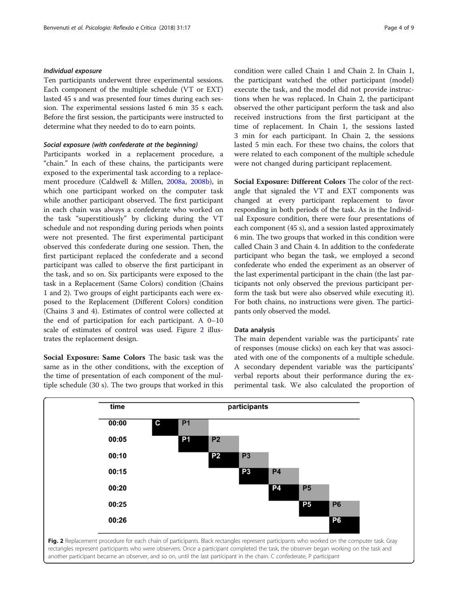# Individual exposure

Ten participants underwent three experimental sessions. Each component of the multiple schedule (VT or EXT) lasted 45 s and was presented four times during each session. The experimental sessions lasted 6 min 35 s each. Before the first session, the participants were instructed to determine what they needed to do to earn points.

# Social exposure (with confederate at the beginning)

Participants worked in a replacement procedure, a "chain." In each of these chains, the participants were exposed to the experimental task according to a replacement procedure (Caldwell & Millen, [2008a](#page-8-0), [2008b\)](#page-8-0), in which one participant worked on the computer task while another participant observed. The first participant in each chain was always a confederate who worked on the task "superstitiously" by clicking during the VT schedule and not responding during periods when points were not presented. The first experimental participant observed this confederate during one session. Then, the first participant replaced the confederate and a second participant was called to observe the first participant in the task, and so on. Six participants were exposed to the task in a Replacement (Same Colors) condition (Chains 1 and 2). Two groups of eight participants each were exposed to the Replacement (Different Colors) condition (Chains 3 and 4). Estimates of control were collected at the end of participation for each participant. A 0–10 scale of estimates of control was used. Figure 2 illustrates the replacement design.

Social Exposure: Same Colors The basic task was the same as in the other conditions, with the exception of the time of presentation of each component of the multiple schedule (30 s). The two groups that worked in this condition were called Chain 1 and Chain 2. In Chain 1, the participant watched the other participant (model) execute the task, and the model did not provide instructions when he was replaced. In Chain 2, the participant observed the other participant perform the task and also received instructions from the first participant at the time of replacement. In Chain 1, the sessions lasted 3 min for each participant. In Chain 2, the sessions lasted 5 min each. For these two chains, the colors that were related to each component of the multiple schedule were not changed during participant replacement.

Social Exposure: Different Colors The color of the rectangle that signaled the VT and EXT components was changed at every participant replacement to favor responding in both periods of the task. As in the Individual Exposure condition, there were four presentations of each component (45 s), and a session lasted approximately 6 min. The two groups that worked in this condition were called Chain 3 and Chain 4. In addition to the confederate participant who began the task, we employed a second confederate who ended the experiment as an observer of the last experimental participant in the chain (the last participants not only observed the previous participant perform the task but were also observed while executing it). For both chains, no instructions were given. The participants only observed the model.

#### Data analysis

The main dependent variable was the participants' rate of responses (mouse clicks) on each key that was associated with one of the components of a multiple schedule. A secondary dependent variable was the participants' verbal reports about their performance during the experimental task. We also calculated the proportion of

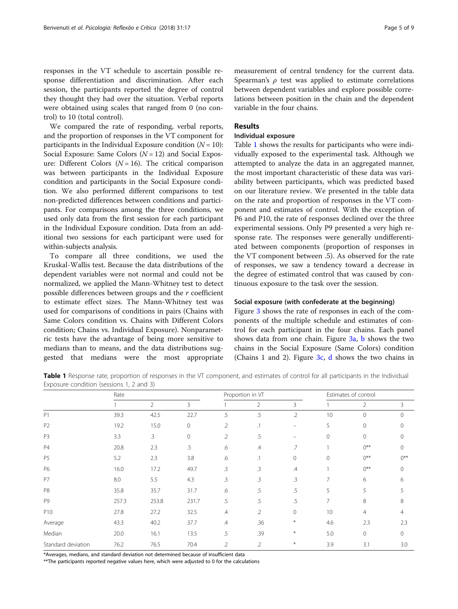responses in the VT schedule to ascertain possible response differentiation and discrimination. After each session, the participants reported the degree of control they thought they had over the situation. Verbal reports were obtained using scales that ranged from 0 (no control) to 10 (total control).

We compared the rate of responding, verbal reports, and the proportion of responses in the VT component for participants in the Individual Exposure condition  $(N = 10)$ : Social Exposure: Same Colors  $(N = 12)$  and Social Exposure: Different Colors  $(N = 16)$ . The critical comparison was between participants in the Individual Exposure condition and participants in the Social Exposure condition. We also performed different comparisons to test non-predicted differences between conditions and participants. For comparisons among the three conditions, we used only data from the first session for each participant in the Individual Exposure condition. Data from an additional two sessions for each participant were used for within-subjects analysis.

To compare all three conditions, we used the Kruskal-Wallis test. Because the data distributions of the dependent variables were not normal and could not be normalized, we applied the Mann-Whitney test to detect possible differences between groups and the r coefficient to estimate effect sizes. The Mann-Whitney test was used for comparisons of conditions in pairs (Chains with Same Colors condition vs. Chains with Different Colors condition; Chains vs. Individual Exposure). Nonparametric tests have the advantage of being more sensitive to medians than to means, and the data distributions suggested that medians were the most appropriate

measurement of central tendency for the current data. Spearman's  $\rho$  test was applied to estimate correlations between dependent variables and explore possible correlations between position in the chain and the dependent variable in the four chains.

# **Results**

# Individual exposure

Table 1 shows the results for participants who were individually exposed to the experimental task. Although we attempted to analyze the data in an aggregated manner, the most important characteristic of these data was variability between participants, which was predicted based on our literature review. We presented in the table data on the rate and proportion of responses in the VT component and estimates of control. With the exception of P6 and P10, the rate of responses declined over the three experimental sessions. Only P9 presented a very high response rate. The responses were generally undifferentiated between components (proportion of responses in the VT component between .5). As observed for the rate of responses, we saw a tendency toward a decrease in the degree of estimated control that was caused by continuous exposure to the task over the session.

# Social exposure (with confederate at the beginning)

Figure [3](#page-5-0) shows the rate of responses in each of the components of the multiple schedule and estimates of control for each participant in the four chains. Each panel shows data from one chain. Figure  $3a$ , [b](#page-5-0) shows the two chains in the Social Exposure (Same Colors) condition (Chains 1 an[d](#page-5-0) 2). Figure  $3c$ , d shows the two chains in

Table 1 Response rate, proportion of responses in the VT component, and estimates of control for all participants in the Individual Exposure condition (sessions 1, 2 and 3)

|                    | Rate  |           |          | Proportion in VT |                |               | Estimates of control |                 |              |
|--------------------|-------|-----------|----------|------------------|----------------|---------------|----------------------|-----------------|--------------|
|                    |       | 2         | 3        |                  | $\overline{2}$ | 3             |                      | $\overline{2}$  | 3            |
| P <sub>1</sub>     | 39.3  | 42.5      | 22.7     | .5               | .5             | .2            | 10                   | $\circ$         | $\mathbf{0}$ |
| P <sub>2</sub>     | 19.2  | 15.0      | $\Omega$ | .2               | $\cdot$        | $\equiv$      | 5                    | $\Omega$        | $\Omega$     |
| P <sub>3</sub>     | 3.3   | $\cdot$ 3 | $\circ$  | .2               | .5             |               | $\mathbf 0$          | $\Omega$        | $\mathbf{0}$ |
| <b>P4</b>          | 20.8  | 2.3       | .5       | .6               | $\mathcal{A}$  | .7            |                      | $()^{\ast\ast}$ | $\mathbf{0}$ |
| <b>P5</b>          | 5.2   | 2.3       | 3.8      | .6               | $\cdot$ 1      | $\Omega$      | $\Omega$             | $0***$          | $0***$       |
| P6                 | 16.0  | 17.2      | 49.7     | .3               | $\cdot$ 3      | $\mathcal{A}$ |                      | $()^{**}$       | $\mathbf{0}$ |
| <b>P7</b>          | 8.0   | 5.5       | 4.3      | $.3\,$           | $\cdot$ 3      | $.3\,$        | 7                    | 6               | 6            |
| P <sub>8</sub>     | 35.8  | 35.7      | 31.7     | .6               | .5             | .5            | 5                    | 5               | 5            |
| P <sub>9</sub>     | 257.3 | 253.8     | 231.7    | .5               | .5             | .5            | 7                    | 8               | 8            |
| P10                | 27.8  | 27.2      | 32.5     | $\mathcal{A}$    | $\cdot$        | $\Omega$      | 10                   | $\overline{4}$  | 4            |
| Average            | 43.3  | 40.2      | 37.7     | $\mathcal{A}$    | .36            | $*$           | 4.6                  | 2.3             | 2.3          |
| Median             | 20.0  | 16.1      | 13.5     | .5               | .39            | $\ast$        | 5.0                  | $\Omega$        | $\mathbf{0}$ |
| Standard deviation | 76.2  | 76.5      | 70.4     | $\cdot$ .2       | $\cdot$ .2     | $\ast$        | 3.9                  | 3.1             | 3.0          |

\*Averages, medians, and standard deviation not determined because of insufficient data

\*\*The participants reported negative values here, which were adjusted to 0 for the calculations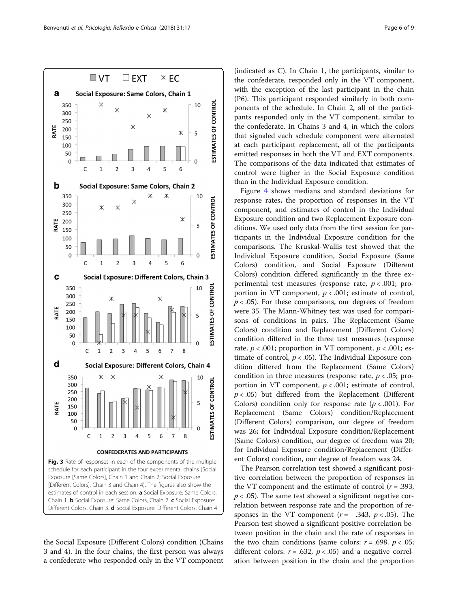<span id="page-5-0"></span>

the Social Exposure (Different Colors) condition (Chains 3 and 4). In the four chains, the first person was always a confederate who responded only in the VT component

(indicated as C). In Chain 1, the participants, similar to the confederate, responded only in the VT component, with the exception of the last participant in the chain (P6). This participant responded similarly in both components of the schedule. In Chain 2, all of the participants responded only in the VT component, similar to the confederate. In Chains 3 and 4, in which the colors that signaled each schedule component were alternated at each participant replacement, all of the participants emitted responses in both the VT and EXT components. The comparisons of the data indicated that estimates of control were higher in the Social Exposure condition than in the Individual Exposure condition.

Figure [4](#page-6-0) shows medians and standard deviations for response rates, the proportion of responses in the VT component, and estimates of control in the Individual Exposure condition and two Replacement Exposure conditions. We used only data from the first session for participants in the Individual Exposure condition for the comparisons. The Kruskal-Wallis test showed that the Individual Exposure condition, Social Exposure (Same Colors) condition, and Social Exposure (Different Colors) condition differed significantly in the three experimental test measures (response rate,  $p < .001$ ; proportion in VT component,  $p < .001$ ; estimate of control,  $p < .05$ ). For these comparisons, our degrees of freedom were 35. The Mann-Whitney test was used for comparisons of conditions in pairs. The Replacement (Same Colors) condition and Replacement (Different Colors) condition differed in the three test measures (response rate,  $p < .001$ ; proportion in VT component,  $p < .001$ ; estimate of control,  $p < .05$ ). The Individual Exposure condition differed from the Replacement (Same Colors) condition in three measures (response rate,  $p < .05$ ; proportion in VT component,  $p < .001$ ; estimate of control,  $p < .05$ ) but differed from the Replacement (Different Colors) condition only for response rate ( $p < .001$ ). For Replacement (Same Colors) condition/Replacement (Different Colors) comparison, our degree of freedom was 26; for Individual Exposure condition/Replacement (Same Colors) condition, our degree of freedom was 20; for Individual Exposure condition/Replacement (Different Colors) condition, our degree of freedom was 24.

The Pearson correlation test showed a significant positive correlation between the proportion of responses in the VT component and the estimate of control  $(r = .393, ...)$  $p < .05$ ). The same test showed a significant negative correlation between response rate and the proportion of responses in the VT component ( $r = -0.343$ ,  $p < 0.05$ ). The Pearson test showed a significant positive correlation between position in the chain and the rate of responses in the two chain conditions (same colors:  $r = .698$ ,  $p < .05$ ; different colors:  $r = .632$ ,  $p < .05$ ) and a negative correlation between position in the chain and the proportion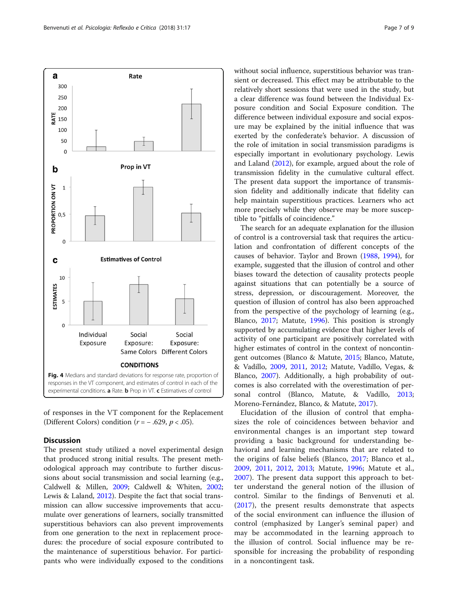of responses in the VT component for the Replacement (Different Colors) condition  $(r = -0.629, p < 0.05)$ .

Fig. 4 Medians and standard deviations for response rate, proportion of responses in the VT component, and estimates of control in each of the experimental conditions. a Rate. **b** Prop in VT. c Estimatives of control

Social

Exposure:

**CONDITIONS** 

Social

Exposure:

Same Colors Different Colors

Individual

Exposure

# **Discussion**

The present study utilized a novel experimental design that produced strong initial results. The present methodological approach may contribute to further discussions about social transmission and social learning (e.g., Caldwell & Millen, [2009](#page-8-0); Caldwell & Whiten, [2002](#page-8-0); Lewis & Laland, [2012\)](#page-8-0). Despite the fact that social transmission can allow successive improvements that accumulate over generations of learners, socially transmitted superstitious behaviors can also prevent improvements from one generation to the next in replacement procedures: the procedure of social exposure contributed to the maintenance of superstitious behavior. For participants who were individually exposed to the conditions without social influence, superstitious behavior was transient or decreased. This effect may be attributable to the relatively short sessions that were used in the study, but a clear difference was found between the Individual Exposure condition and Social Exposure condition. The difference between individual exposure and social exposure may be explained by the initial influence that was exerted by the confederate's behavior. A discussion of the role of imitation in social transmission paradigms is especially important in evolutionary psychology. Lewis and Laland ([2012](#page-8-0)), for example, argued about the role of transmission fidelity in the cumulative cultural effect. The present data support the importance of transmission fidelity and additionally indicate that fidelity can help maintain superstitious practices. Learners who act more precisely while they observe may be more susceptible to "pitfalls of coincidence."

The search for an adequate explanation for the illusion of control is a controversial task that requires the articulation and confrontation of different concepts of the causes of behavior. Taylor and Brown ([1988,](#page-8-0) [1994](#page-8-0)), for example, suggested that the illusion of control and other biases toward the detection of causality protects people against situations that can potentially be a source of stress, depression, or discouragement. Moreover, the question of illusion of control has also been approached from the perspective of the psychology of learning (e.g., Blanco, [2017](#page-8-0); Matute, [1996\)](#page-8-0). This position is strongly supported by accumulating evidence that higher levels of activity of one participant are positively correlated with higher estimates of control in the context of noncontingent outcomes (Blanco & Matute, [2015](#page-8-0); Blanco, Matute, & Vadillo, [2009](#page-8-0), [2011](#page-8-0), [2012;](#page-8-0) Matute, Vadillo, Vegas, & Blanco, [2007](#page-8-0)). Additionally, a high probability of outcomes is also correlated with the overestimation of personal control (Blanco, Matute, & Vadillo, [2013](#page-8-0); Moreno-Fernández, Blanco, & Matute, [2017\)](#page-8-0).

Elucidation of the illusion of control that emphasizes the role of coincidences between behavior and environmental changes is an important step toward providing a basic background for understanding behavioral and learning mechanisms that are related to the origins of false beliefs (Blanco, [2017;](#page-8-0) Blanco et al., [2009,](#page-8-0) [2011](#page-8-0), [2012](#page-8-0), [2013;](#page-8-0) Matute, [1996;](#page-8-0) Matute et al., [2007\)](#page-8-0). The present data support this approach to better understand the general notion of the illusion of control. Similar to the findings of Benvenuti et al. ([2017\)](#page-8-0), the present results demonstrate that aspects of the social environment can influence the illusion of control (emphasized by Langer's seminal paper) and may be accommodated in the learning approach to the illusion of control. Social influence may be responsible for increasing the probability of responding in a noncontingent task.

<span id="page-6-0"></span>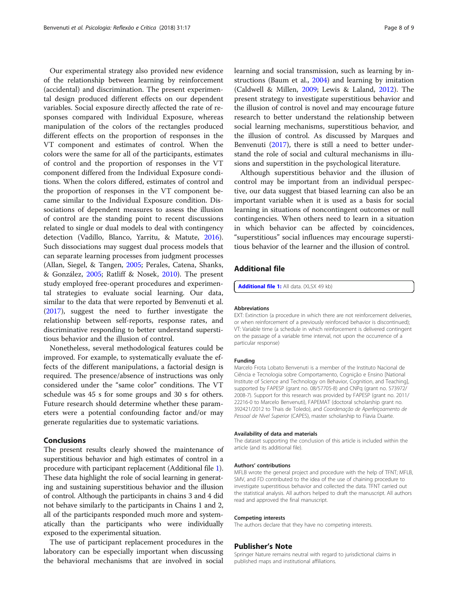Our experimental strategy also provided new evidence of the relationship between learning by reinforcement (accidental) and discrimination. The present experimental design produced different effects on our dependent variables. Social exposure directly affected the rate of responses compared with Individual Exposure, whereas manipulation of the colors of the rectangles produced different effects on the proportion of responses in the VT component and estimates of control. When the colors were the same for all of the participants, estimates of control and the proportion of responses in the VT component differed from the Individual Exposure conditions. When the colors differed, estimates of control and the proportion of responses in the VT component became similar to the Individual Exposure condition. Dissociations of dependent measures to assess the illusion of control are the standing point to recent discussions related to single or dual models to deal with contingency detection (Vadillo, Blanco, Yarritu, & Matute, [2016](#page-8-0)). Such dissociations may suggest dual process models that can separate learning processes from judgment processes (Allan, Siegel, & Tangen, [2005;](#page-8-0) Perales, Catena, Shanks, & González, [2005](#page-8-0); Ratliff & Nosek, [2010\)](#page-8-0). The present study employed free-operant procedures and experimental strategies to evaluate social learning. Our data, similar to the data that were reported by Benvenuti et al. ([2017](#page-8-0)), suggest the need to further investigate the relationship between self-reports, response rates, and discriminative responding to better understand superstitious behavior and the illusion of control.

Nonetheless, several methodological features could be improved. For example, to systematically evaluate the effects of the different manipulations, a factorial design is required. The presence/absence of instructions was only considered under the "same color" conditions. The VT schedule was 45 s for some groups and 30 s for others. Future research should determine whether these parameters were a potential confounding factor and/or may generate regularities due to systematic variations.

# Conclusions

The present results clearly showed the maintenance of superstitious behavior and high estimates of control in a procedure with participant replacement (Additional file 1). These data highlight the role of social learning in generating and sustaining superstitious behavior and the illusion of control. Although the participants in chains 3 and 4 did not behave similarly to the participants in Chains 1 and 2, all of the participants responded much more and systematically than the participants who were individually exposed to the experimental situation.

The use of participant replacement procedures in the laboratory can be especially important when discussing the behavioral mechanisms that are involved in social learning and social transmission, such as learning by instructions (Baum et al., [2004\)](#page-8-0) and learning by imitation (Caldwell & Millen, [2009](#page-8-0); Lewis & Laland, [2012\)](#page-8-0). The present strategy to investigate superstitious behavior and the illusion of control is novel and may encourage future research to better understand the relationship between social learning mechanisms, superstitious behavior, and the illusion of control. As discussed by Marques and Benvenuti [\(2017\)](#page-8-0), there is still a need to better understand the role of social and cultural mechanisms in illusions and superstition in the psychological literature.

Although superstitious behavior and the illusion of control may be important from an individual perspective, our data suggest that biased learning can also be an important variable when it is used as a basis for social learning in situations of noncontingent outcomes or null contingencies. When others need to learn in a situation in which behavior can be affected by coincidences, "superstitious" social influences may encourage superstitious behavior of the learner and the illusion of control.

# Additional file

[Additional file 1:](https://doi.org/10.1186/s41155-018-0097-9) All data. (XLSX 49 kb)

#### Abbreviations

EXT: Extinction (a procedure in which there are not reinforcement deliveries, or when reinforcement of a previously reinforced behavior is discontinued); VT: Variable time (a schedule in which reinforcement is delivered contingent on the passage of a variable time interval, not upon the occurrence of a particular response)

#### Funding

Marcelo Frota Lobato Benvenuti is a member of the Instituto Nacional de Ciência e Tecnologia sobre Comportamento, Cognição e Ensino [National Institute of Science and Technology on Behavior, Cognition, and Teaching], supported by FAPESP (grant no. 08/57705-8) and CNPq (grant no. 573972/ 2008-7). Support for this research was provided by FAPESP (grant no. 2011/ 22216-0 to Marcelo Benvenuti), FAPEMAT (doctoral scholarship grant no. 392421/2012 to Thais de Toledo), and Coordenação de Aperfeiçoamento de Pessoal de Nível Superior (CAPES), master scholarship to Flavia Duarte.

#### Availability of data and materials

The dataset supporting the conclusion of this article is included within the article (and its additional file).

#### Authors' contributions

MFLB wrote the general project and procedure with the help of TFNT; MFLB, SMV, and FD contributed to the idea of the use of chaining procedure to investigate superstitious behavior and collected the data. TFNT carried out the statistical analysis. All authors helped to draft the manuscript. All authors read and approved the final manuscript.

#### Competing interests

The authors declare that they have no competing interests.

#### Publisher's Note

Springer Nature remains neutral with regard to jurisdictional claims in published maps and institutional affiliations.